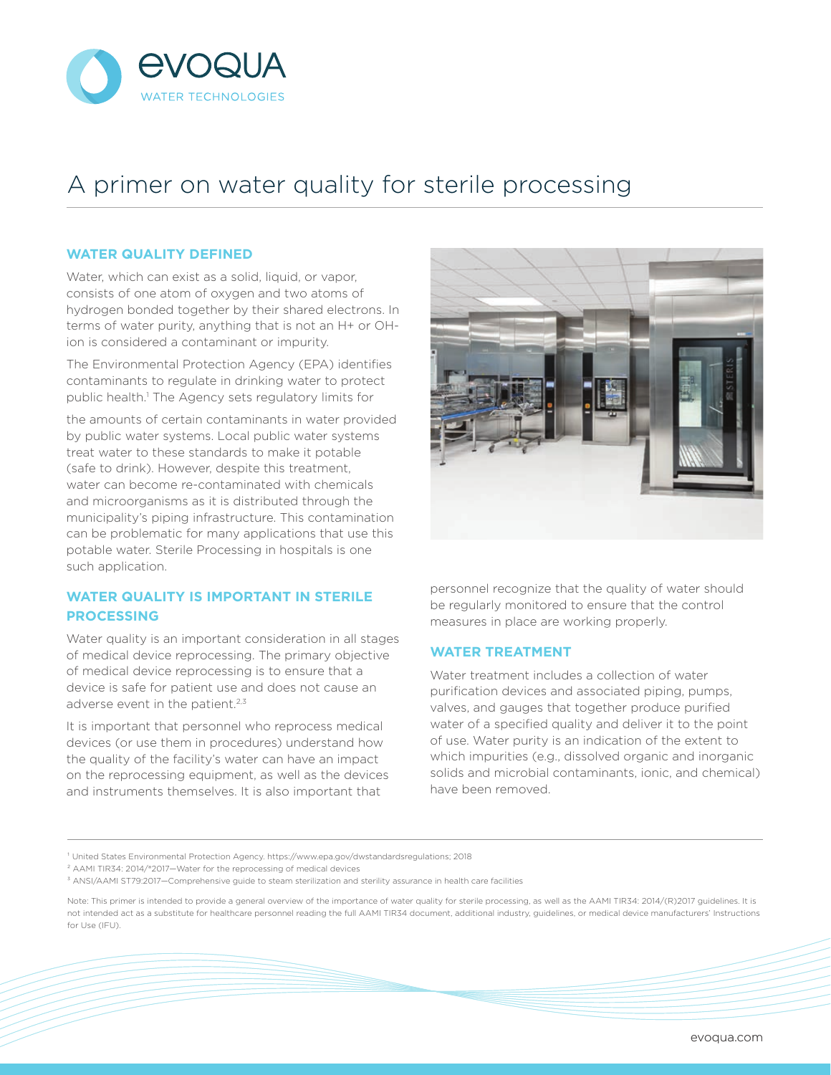

## A primer on water quality for sterile processing

## **WATER QUALITY DEFINED**

Water, which can exist as a solid, liquid, or vapor, consists of one atom of oxygen and two atoms of hydrogen bonded together by their shared electrons. In terms of water purity, anything that is not an H+ or OHion is considered a contaminant or impurity.

The Environmental Protection Agency (EPA) identifies contaminants to regulate in drinking water to protect public health.1 The Agency sets regulatory limits for

the amounts of certain contaminants in water provided by public water systems. Local public water systems treat water to these standards to make it potable (safe to drink). However, despite this treatment, water can become re-contaminated with chemicals and microorganisms as it is distributed through the municipality's piping infrastructure. This contamination can be problematic for many applications that use this potable water. Sterile Processing in hospitals is one such application.

## **WATER QUALITY IS IMPORTANT IN STERILE PROCESSING**

Water quality is an important consideration in all stages of medical device reprocessing. The primary objective of medical device reprocessing is to ensure that a device is safe for patient use and does not cause an adverse event in the patient.<sup>2,3</sup>

It is important that personnel who reprocess medical devices (or use them in procedures) understand how the quality of the facility's water can have an impact on the reprocessing equipment, as well as the devices and instruments themselves. It is also important that



personnel recognize that the quality of water should be regularly monitored to ensure that the control measures in place are working properly.

## **WATER TREATMENT**

Water treatment includes a collection of water purification devices and associated piping, pumps, valves, and gauges that together produce purified water of a specified quality and deliver it to the point of use. Water purity is an indication of the extent to which impurities (e.g., dissolved organic and inorganic solids and microbial contaminants, ionic, and chemical) have been removed.

² AAMI TIR34: 2014/®2017—Water for the reprocessing of medical devices

<sup>&</sup>lt;sup>1</sup> United States Environmental Protection Agency. https://www.epa.gov/dwstandardsregulations; 2018

³ ANSI/AAMI ST79:2017—Comprehensive guide to steam sterilization and sterility assurance in health care facilities

Note: This primer is intended to provide a general overview of the importance of water quality for sterile processing, as well as the AAMI TIR34: 2014/(R)2017 guidelines. It is not intended act as a substitute for healthcare personnel reading the full AAMI TIR34 document, additional industry, guidelines, or medical device manufacturers' Instructions for Use (IFU).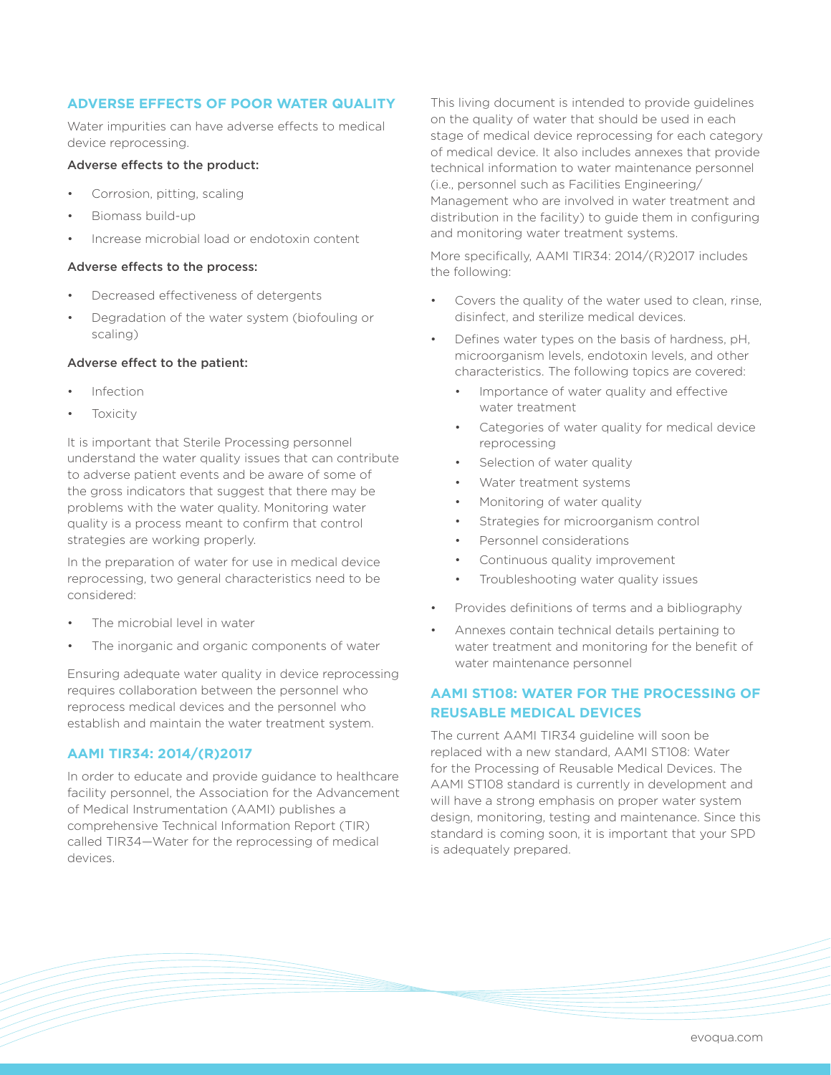## **ADVERSE EFFECTS OF POOR WATER QUALITY**

Water impurities can have adverse effects to medical device reprocessing.

## Adverse effects to the product:

- Corrosion, pitting, scaling
- Biomass build-up
- Increase microbial load or endotoxin content

#### Adverse effects to the process:

- Decreased effectiveness of detergents
- Degradation of the water system (biofouling or scaling)

#### Adverse effect to the patient:

- Infection
- **Toxicity**

It is important that Sterile Processing personnel understand the water quality issues that can contribute to adverse patient events and be aware of some of the gross indicators that suggest that there may be problems with the water quality. Monitoring water quality is a process meant to confirm that control strategies are working properly.

In the preparation of water for use in medical device reprocessing, two general characteristics need to be considered:

- The microbial level in water
- The inorganic and organic components of water

Ensuring adequate water quality in device reprocessing requires collaboration between the personnel who reprocess medical devices and the personnel who establish and maintain the water treatment system.

## **AAMI TIR34: 2014/(R)2017**

In order to educate and provide guidance to healthcare facility personnel, the Association for the Advancement of Medical Instrumentation (AAMI) publishes a comprehensive Technical Information Report (TIR) called TIR34—Water for the reprocessing of medical devices.

This living document is intended to provide guidelines on the quality of water that should be used in each stage of medical device reprocessing for each category of medical device. It also includes annexes that provide technical information to water maintenance personnel (i.e., personnel such as Facilities Engineering/ Management who are involved in water treatment and distribution in the facility) to guide them in configuring and monitoring water treatment systems.

More specifically, AAMI TIR34: 2014/(R)2017 includes the following:

- Covers the quality of the water used to clean, rinse, disinfect, and sterilize medical devices.
- Defines water types on the basis of hardness, pH, microorganism levels, endotoxin levels, and other characteristics. The following topics are covered:
	- Importance of water quality and effective water treatment
	- Categories of water quality for medical device reprocessing
	- Selection of water quality
	- Water treatment systems
	- Monitoring of water quality
	- Strategies for microorganism control
	- Personnel considerations
	- Continuous quality improvement
	- Troubleshooting water quality issues
- Provides definitions of terms and a bibliography
- Annexes contain technical details pertaining to water treatment and monitoring for the benefit of water maintenance personnel

## **AAMI ST108: WATER FOR THE PROCESSING OF REUSABLE MEDICAL DEVICES**

The current AAMI TIR34 guideline will soon be replaced with a new standard, AAMI ST108: Water for the Processing of Reusable Medical Devices. The AAMI ST108 standard is currently in development and will have a strong emphasis on proper water system design, monitoring, testing and maintenance. Since this standard is coming soon, it is important that your SPD is adequately prepared.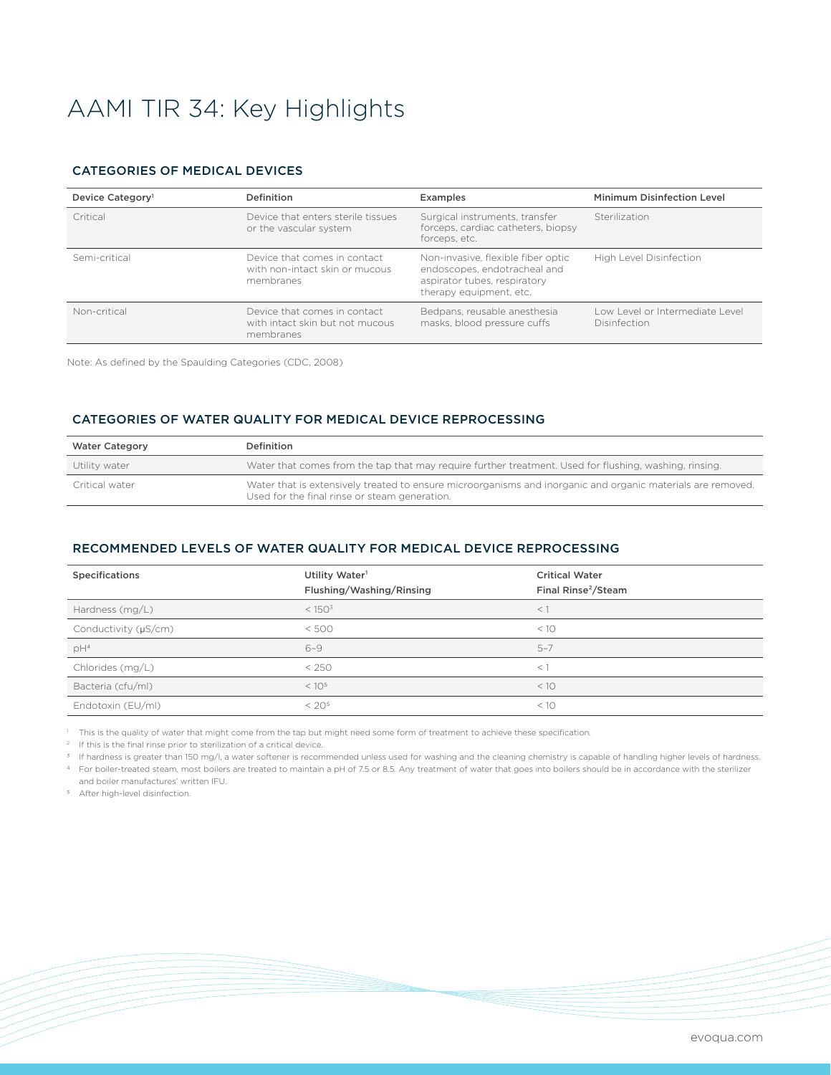# AAMI TIR 34: Key Highlights

#### CATEGORIES OF MEDICAL DEVICES

| Device Category <sup>1</sup> | Definition                                                                   | <b>Examples</b>                                                                                                               | Minimum Disinfection Level                             |
|------------------------------|------------------------------------------------------------------------------|-------------------------------------------------------------------------------------------------------------------------------|--------------------------------------------------------|
| Critical                     | Device that enters sterile tissues<br>or the vascular system                 | Surgical instruments, transfer<br>forceps, cardiac catheters, biopsy<br>forceps, etc.                                         | Sterilization                                          |
| Semi-critical                | Device that comes in contact<br>with non-intact skin or mucous<br>membranes  | Non-invasive, flexible fiber optic<br>endoscopes, endotracheal and<br>aspirator tubes, respiratory<br>therapy equipment, etc. | High Level Disinfection                                |
| Non-critical                 | Device that comes in contact<br>with intact skin but not mucous<br>membranes | Bedpans, reusable anesthesia<br>masks, blood pressure cuffs                                                                   | Low Level or Intermediate Level<br><b>Disinfection</b> |

Note: As defined by the Spaulding Categories (CDC, 2008)

#### CATEGORIES OF WATER QUALITY FOR MEDICAL DEVICE REPROCESSING

| <b>Water Category</b> | Definition                                                                                                                                                   |
|-----------------------|--------------------------------------------------------------------------------------------------------------------------------------------------------------|
| Utility water         | Water that comes from the tap that may require further treatment. Used for flushing, washing, rinsing.                                                       |
| Critical water        | Water that is extensively treated to ensure microorganisms and inorganic and organic materials are removed.<br>Used for the final rinse or steam generation. |

#### RECOMMENDED LEVELS OF WATER QUALITY FOR MEDICAL DEVICE REPROCESSING

| <b>Specifications</b> | Utility Water <sup>1</sup><br>Flushing/Washing/Rinsing | <b>Critical Water</b><br>Final Rinse <sup>2</sup> /Steam |
|-----------------------|--------------------------------------------------------|----------------------------------------------------------|
| Hardness $(mq/L)$     | < 150 <sup>3</sup>                                     | $<$ 1                                                    |
| Conductivity (µS/cm)  | < 500                                                  | < 10                                                     |
| $pH^4$                | $6 - 9$                                                | $5 - 7$                                                  |
| Chlorides (mg/L)      | < 250                                                  | $\lt'$                                                   |
| Bacteria (cfu/ml)     | < 10 <sup>5</sup>                                      | < 10                                                     |
| Endotoxin (EU/ml)     | < 20 <sup>5</sup>                                      | < 10                                                     |

<sup>1</sup> This is the quality of water that might come from the tap but might need some form of treatment to achieve these specification.

<sup>2</sup> If this is the final rinse prior to sterilization of a critical device.

<sup>3</sup> If hardness is greater than 150 mg/l, a water softener is recommended unless used for washing and the cleaning chemistry is capable of handling higher levels of hardness. 4 For boiler-treated steam, most boilers are treated to maintain a pH of 7.5 or 8.5. Any treatment of water that goes into boilers should be in accordance with the sterilizer

and boiler manufactures' written IFU.

5 After high-level disinfection.